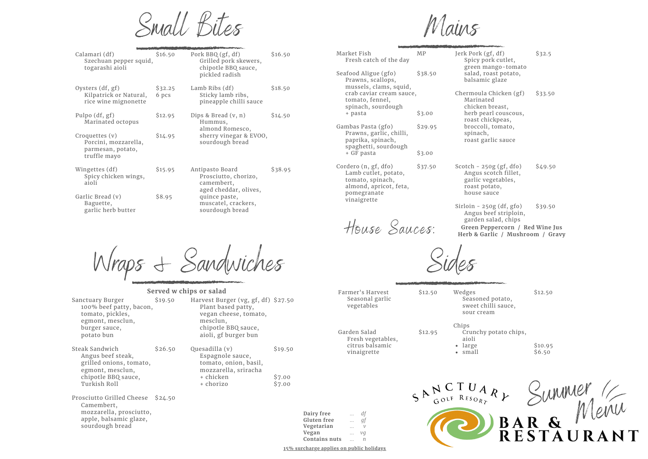I Kites

| Mains |
|-------|
|       |

| Calamari (df)<br>Szechuan pepper squid,<br>togarashi aioli                  | \$16.50            | Pork BBQ (gf, df)<br>Grilled pork skewers,<br>chipotle BBQ sauce,<br>pickled radish |  |
|-----------------------------------------------------------------------------|--------------------|-------------------------------------------------------------------------------------|--|
| Oysters (df, gf)<br>Kilpatrick or Natural,<br>rice wine mignonette          | \$32.25<br>6 pcs   | Lamb Ribs (df)<br>Sticky lamb ribs,<br>pineapple chilli sauce                       |  |
| Pulpo (df, gf)<br>Marinated octopus                                         | S <sub>12.95</sub> | Dips & Bread $(v, n)$<br>Hummus,<br>almond Romesco,                                 |  |
| Croquettes (v)<br>Porcini, mozzarella,<br>parmesan, potato,<br>truffle mayo | \$14.95            | sherry vinegar & EVOO,<br>sourdough bread                                           |  |
| Wingettes (df)<br>Spicy chicken wings,<br>aioli                             | \$15.95            | Antipasto Board<br>Prosciutto, chorizo,<br>camembert,<br>aged cheddar, olives,      |  |
| Garlic Bread (v)<br>Baguette,<br>garlic herb butter                         | \$8.95             | quince paste,<br>muscatel, crackers,<br>sourdough bread                             |  |

| Market Fish<br>Fresh catch of the day                                                                                    | MP      | Jerk Pork (gf, df)<br>Spicy pork cutlet,<br>green mango-tomato                                         | \$32.5  |
|--------------------------------------------------------------------------------------------------------------------------|---------|--------------------------------------------------------------------------------------------------------|---------|
| Seafood Aligue (gfo)<br>Prawns, scallops,<br>mussels, clams, squid,                                                      | \$38.50 | salad, roast potato,<br>balsamic glaze                                                                 |         |
| crab caviar cream sauce,<br>tomato, fennel,<br>spinach, sourdough                                                        |         | Chermoula Chicken (gf)<br>Marinated<br>chicken breast,                                                 | \$33.50 |
| + pasta                                                                                                                  | \$3.00  | herb pearl couscous,<br>roast chickpeas,                                                               |         |
| Gambas Pasta (gfo)<br>Prawns, garlic, chilli,<br>paprika, spinach,<br>spaghetti, sourdough                               | \$29.95 | broccoli, tomato,<br>spinach,<br>roast garlic sauce                                                    |         |
| + GF pasta                                                                                                               | \$3.00  |                                                                                                        |         |
| Cordero (n, gf, dfo)<br>Lamb cutlet, potato,<br>tomato, spinach,<br>almond, apricot, feta,<br>pomegranate<br>vinaigrette | \$37.50 | Scotch $-250g$ (gf, dfo)<br>Angus scotch fillet,<br>garlic vegetables,<br>roast potato,<br>house sauce | \$49.50 |
|                                                                                                                          |         | Sirloin $-250g$ (df, gfo)<br>Angus beef striploin,<br>الممتلطم المملمة متمامسون                        | \$39.50 |

Farmer's Harvest Seasonal garlic vegetables

Garden Salad

Fresh vegetables, citrus balsamic vinaigrette

Frace Sauces: Sauces: Seen Peppercorn / Red Wine Jus<br>H 1945 Herb & Garlic / Mushroom / Gravy garden salad, chips

Sides

Wedges Seasoned potato, sweet chilli sauce,

\$12.95 large • small Chips

\$12.50

- sour cream Crunchy potato chips, aioli
	- \$10.95 \$6.50

\$12.50



Wraps & Sandwiches

**Served w chips or salad** Sanctuary Burger 100% beef patty, bacon, tomato, pickles, egmont, mesclun, \$19.50 Harvest Burger (vg, gf, df) \$27.50

\$26.50

Plant based patty, vegan cheese, tomato, mesclun, chipotle BBQ sauce, aioli, gf burger bun

Prosciutto Grilled Cheese \$24.50 Camembert, mozzarella, prosciutto, apple, balsamic glaze, sourdough bread

burger sauce, potato bun Steak Sandwich Angus beef steak, grilled onions, tomato, egmont, mesclun, chipotle BBQ sauce, Turkish Roll

Quesadilla (v) Espagnole sauce, tomato, onion, basil, mozzarella, sriracha + chicken + chorizo \$19.50

\$16.50

\$18.50

\$14.50

\$38.95